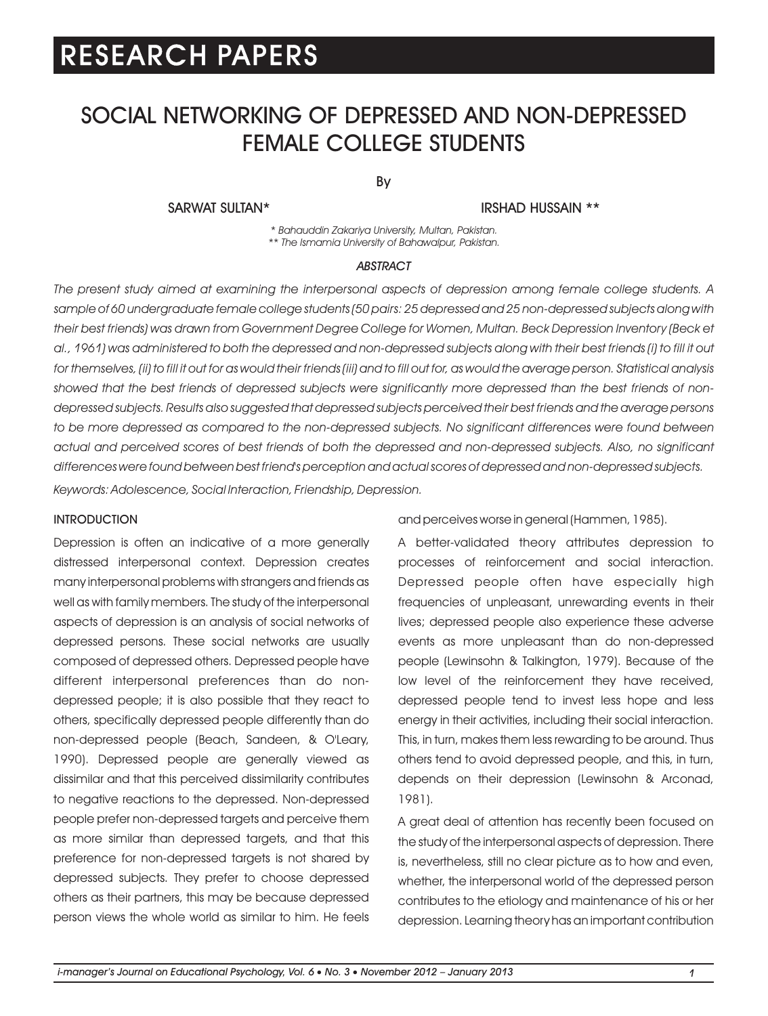## SOCIAL NETWORKING OF DEPRESSED AND NON-DEPRESSED FEMALE COLLEGE STUDENTS

By

SARWAT SULTAN\* IRSHAD HUSSAIN \*\*

*\* Bahauddin Zakariya University, Multan, Pakistan. \*\* The Ismamia University of Bahawalpur, Pakistan.*

#### *ABSTRACT*

*The present study aimed at examining the interpersonal aspects of depression among female college students. A sample of 60 undergraduate female college students (50 pairs: 25 depressed and 25 non-depressed subjects along with their best friends) was drawn from Government Degree College for Women, Multan. Beck Depression Inventory (Beck et al., 1961) was administered to both the depressed and non-depressed subjects along with their best friends (i) to fill it out for themselves, (ii) to fill it out for as would their friends (iii) and to fill out for, as would the average person. Statistical analysis showed that the best friends of depressed subjects were significantly more depressed than the best friends of nondepressed subjects. Results also suggested that depressed subjects perceived their best friends and the average persons to be more depressed as compared to the non-depressed subjects. No significant differences were found between actual and perceived scores of best friends of both the depressed and non-depressed subjects. Also, no significant differences were found between best friend's perception and actual scores of depressed and non-depressed subjects.*

*Keywords: Adolescence, Social Interaction, Friendship, Depression.*

#### **INTRODUCTION**

Depression is often an indicative of a more generally distressed interpersonal context. Depression creates many interpersonal problems with strangers and friends as well as with family members. The study of the interpersonal aspects of depression is an analysis of social networks of depressed persons. These social networks are usually composed of depressed others. Depressed people have different interpersonal preferences than do nondepressed people; it is also possible that they react to others, specifically depressed people differently than do non-depressed people (Beach, Sandeen, & O'Leary, 1990). Depressed people are generally viewed as dissimilar and that this perceived dissimilarity contributes to negative reactions to the depressed. Non-depressed people prefer non-depressed targets and perceive them as more similar than depressed targets, and that this preference for non-depressed targets is not shared by depressed subjects. They prefer to choose depressed others as their partners, this may be because depressed person views the whole world as similar to him. He feels and perceives worse in general (Hammen, 1985).

A better-validated theory attributes depression to processes of reinforcement and social interaction. Depressed people often have especially high frequencies of unpleasant, unrewarding events in their lives; depressed people also experience these adverse events as more unpleasant than do non-depressed people (Lewinsohn & Talkington, 1979). Because of the low level of the reinforcement they have received, depressed people tend to invest less hope and less energy in their activities, including their social interaction. This, in turn, makes them less rewarding to be around. Thus others tend to avoid depressed people, and this, in turn, depends on their depression (Lewinsohn & Arconad, 1981).

A great deal of attention has recently been focused on the study of the interpersonal aspects of depression. There is, nevertheless, still no clear picture as to how and even, whether, the interpersonal world of the depressed person contributes to the etiology and maintenance of his or her depression. Learning theory has an important contribution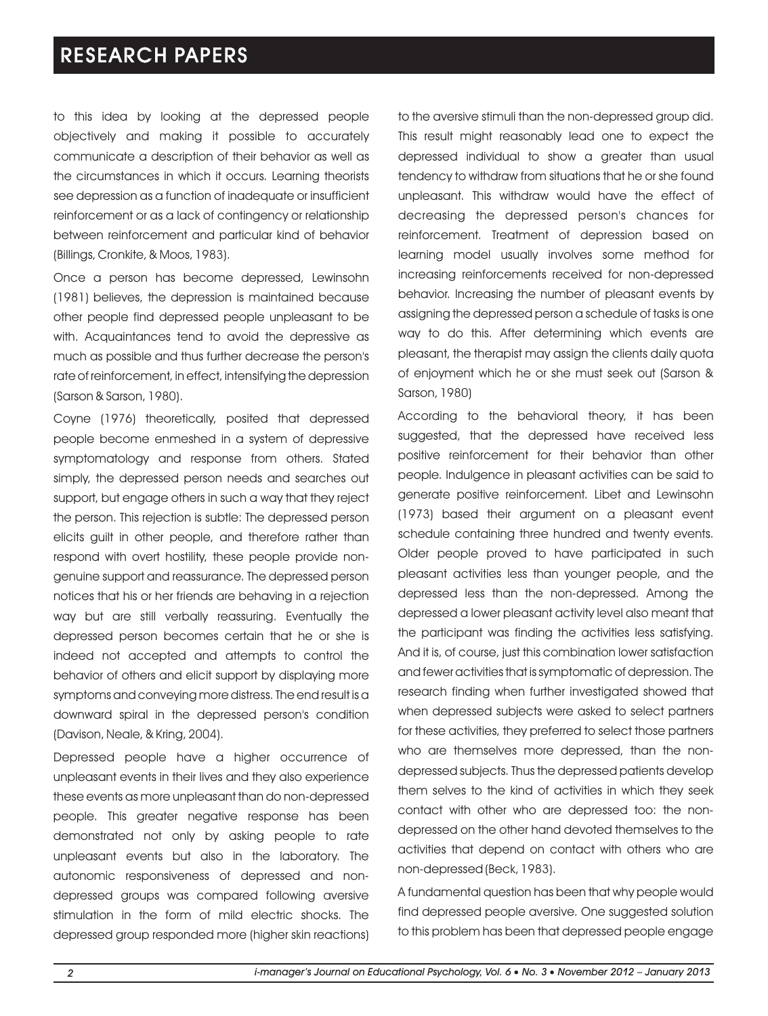to this idea by looking at the depressed people objectively and making it possible to accurately communicate a description of their behavior as well as the circumstances in which it occurs. Learning theorists see depression as a function of inadequate or insufficient reinforcement or as a lack of contingency or relationship between reinforcement and particular kind of behavior (Billings, Cronkite, & Moos, 1983).

Once a person has become depressed, Lewinsohn (1981) believes, the depression is maintained because other people find depressed people unpleasant to be with. Acquaintances tend to avoid the depressive as much as possible and thus further decrease the person's rate of reinforcement, in effect, intensifying the depression (Sarson & Sarson, 1980).

Coyne (1976) theoretically, posited that depressed people become enmeshed in a system of depressive symptomatology and response from others. Stated simply, the depressed person needs and searches out support, but engage others in such a way that they reject the person. This rejection is subtle: The depressed person elicits guilt in other people, and therefore rather than respond with overt hostility, these people provide nongenuine support and reassurance. The depressed person notices that his or her friends are behaving in a rejection way but are still verbally reassuring. Eventually the depressed person becomes certain that he or she is indeed not accepted and attempts to control the behavior of others and elicit support by displaying more symptoms and conveying more distress. The end result is a downward spiral in the depressed person's condition (Davison, Neale, & Kring, 2004).

Depressed people have a higher occurrence of unpleasant events in their lives and they also experience these events as more unpleasant than do non-depressed people. This greater negative response has been demonstrated not only by asking people to rate unpleasant events but also in the laboratory. The autonomic responsiveness of depressed and nondepressed groups was compared following aversive stimulation in the form of mild electric shocks. The depressed group responded more (higher skin reactions) to the aversive stimuli than the non-depressed group did. This result might reasonably lead one to expect the depressed individual to show a greater than usual tendency to withdraw from situations that he or she found unpleasant. This withdraw would have the effect of decreasing the depressed person's chances for reinforcement. Treatment of depression based on learning model usually involves some method for increasing reinforcements received for non-depressed behavior. Increasing the number of pleasant events by assigning the depressed person a schedule of tasks is one way to do this. After determining which events are pleasant, the therapist may assign the clients daily quota of enjoyment which he or she must seek out (Sarson & Sarson, 1980)

According to the behavioral theory, it has been suggested, that the depressed have received less positive reinforcement for their behavior than other people. Indulgence in pleasant activities can be said to generate positive reinforcement. Libet and Lewinsohn (1973) based their argument on a pleasant event schedule containing three hundred and twenty events. Older people proved to have participated in such pleasant activities less than younger people, and the depressed less than the non-depressed. Among the depressed a lower pleasant activity level also meant that the participant was finding the activities less satisfying. And it is, of course, just this combination lower satisfaction and fewer activities that is symptomatic of depression. The research finding when further investigated showed that when depressed subjects were asked to select partners for these activities, they preferred to select those partners who are themselves more depressed, than the nondepressed subjects. Thus the depressed patients develop them selves to the kind of activities in which they seek contact with other who are depressed too: the nondepressed on the other hand devoted themselves to the activities that depend on contact with others who are non-depressed (Beck, 1983).

A fundamental question has been that why people would find depressed people aversive. One suggested solution to this problem has been that depressed people engage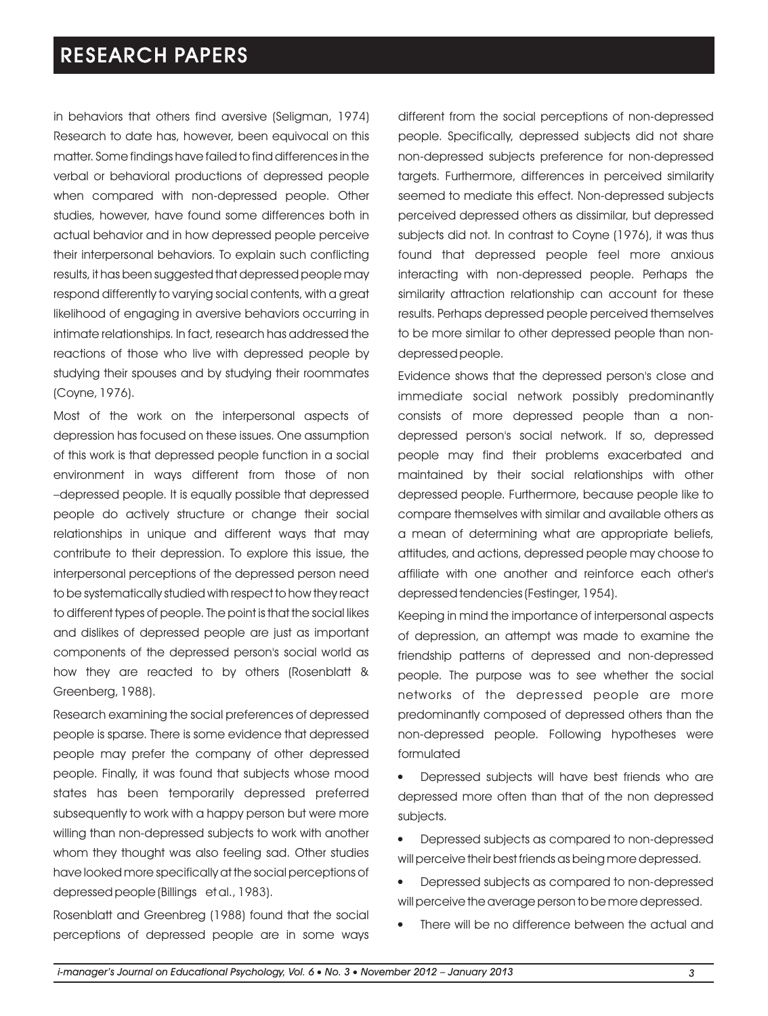in behaviors that others find aversive (Seligman, 1974) Research to date has, however, been equivocal on this matter. Some findings have failed to find differences in the verbal or behavioral productions of depressed people when compared with non-depressed people. Other studies, however, have found some differences both in actual behavior and in how depressed people perceive their interpersonal behaviors. To explain such conflicting results, it has been suggested that depressed people may respond differently to varying social contents, with a great likelihood of engaging in aversive behaviors occurring in intimate relationships. In fact, research has addressed the reactions of those who live with depressed people by studying their spouses and by studying their roommates (Coyne, 1976).

Most of the work on the interpersonal aspects of depression has focused on these issues. One assumption of this work is that depressed people function in a social environment in ways different from those of non –depressed people. It is equally possible that depressed people do actively structure or change their social relationships in unique and different ways that may contribute to their depression. To explore this issue, the interpersonal perceptions of the depressed person need to be systematically studied with respect to how they react to different types of people. The point is that the social likes and dislikes of depressed people are just as important components of the depressed person's social world as how they are reacted to by others (Rosenblatt & Greenberg, 1988).

Research examining the social preferences of depressed people is sparse. There is some evidence that depressed people may prefer the company of other depressed people. Finally, it was found that subjects whose mood states has been temporarily depressed preferred subsequently to work with a happy person but were more willing than non-depressed subjects to work with another whom they thought was also feeling sad. Other studies have looked more specifically at the social perceptions of depressed people (Billings et al., 1983).

Rosenblatt and Greenbreg (1988) found that the social perceptions of depressed people are in some ways different from the social perceptions of non-depressed people. Specifically, depressed subjects did not share non-depressed subjects preference for non-depressed targets. Furthermore, differences in perceived similarity seemed to mediate this effect. Non-depressed subjects perceived depressed others as dissimilar, but depressed subjects did not. In contrast to Coyne (1976), it was thus found that depressed people feel more anxious interacting with non-depressed people. Perhaps the similarity attraction relationship can account for these results. Perhaps depressed people perceived themselves to be more similar to other depressed people than nondepressed people.

Evidence shows that the depressed person's close and immediate social network possibly predominantly consists of more depressed people than a nondepressed person's social network. If so, depressed people may find their problems exacerbated and maintained by their social relationships with other depressed people. Furthermore, because people like to compare themselves with similar and available others as a mean of determining what are appropriate beliefs, attitudes, and actions, depressed people may choose to affiliate with one another and reinforce each other's depressed tendencies (Festinger, 1954).

Keeping in mind the importance of interpersonal aspects of depression, an attempt was made to examine the friendship patterns of depressed and non-depressed people. The purpose was to see whether the social networks of the depressed people are more predominantly composed of depressed others than the non-depressed people. Following hypotheses were formulated

- Depressed subjects will have best friends who are depressed more often than that of the non depressed subjects.
- Depressed subjects as compared to non-depressed l will perceive their best friends as being more depressed.
- Depressed subjects as compared to non-depressed l will perceive the average person to be more depressed.
- There will be no difference between the actual and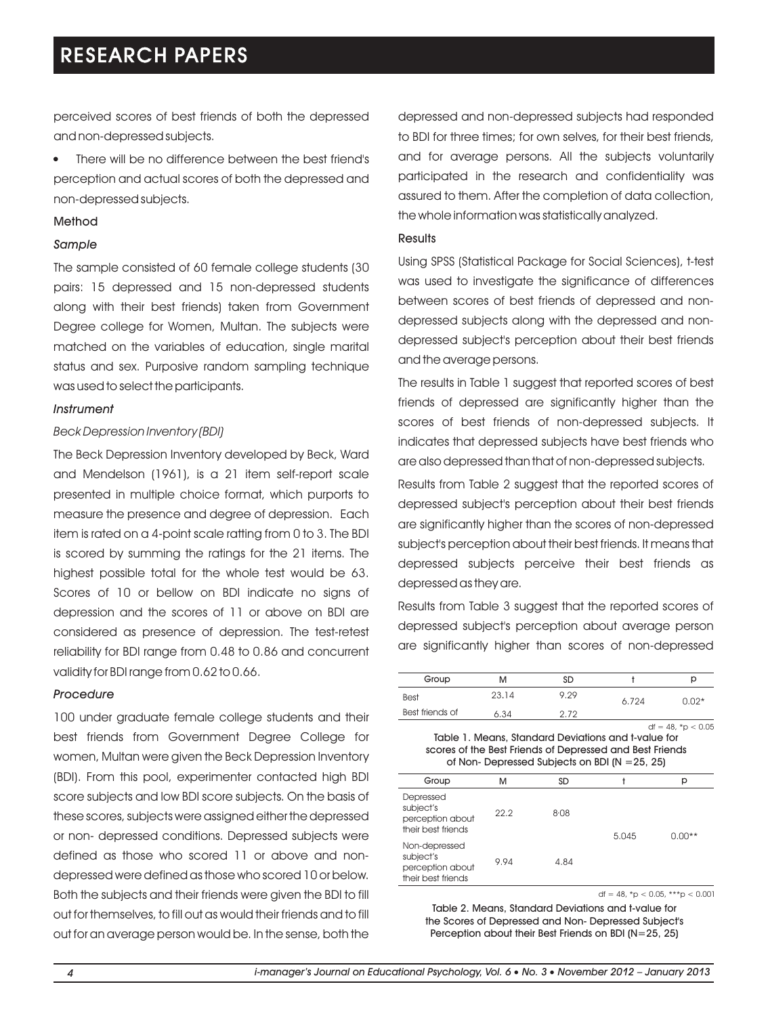perceived scores of best friends of both the depressed and non-depressed subjects.

There will be no difference between the best friend's l perception and actual scores of both the depressed and non-depressed subjects.

#### Method

#### *Sample*

The sample consisted of 60 female college students (30 pairs: 15 depressed and 15 non-depressed students along with their best friends) taken from Government Degree college for Women, Multan. The subjects were matched on the variables of education, single marital status and sex. Purposive random sampling technique was used to select the participants.

#### *Instrument*

#### *Beck Depression Inventory (BDI)*

The Beck Depression Inventory developed by Beck, Ward and Mendelson (1961), is a 21 item self-report scale presented in multiple choice format, which purports to measure the presence and degree of depression. Each item is rated on a 4-point scale ratting from 0 to 3. The BDI is scored by summing the ratings for the 21 items. The highest possible total for the whole test would be 63. Scores of 10 or bellow on BDI indicate no signs of depression and the scores of 11 or above on BDI are considered as presence of depression. The test-retest reliability for BDI range from 0.48 to 0.86 and concurrent validity for BDI range from 0.62 to 0.66.

#### *Procedure*

100 under graduate female college students and their best friends from Government Degree College for women, Multan were given the Beck Depression Inventory (BDI). From this pool, experimenter contacted high BDI score subjects and low BDI score subjects. On the basis of these scores, subjects were assigned either the depressed or non- depressed conditions. Depressed subjects were defined as those who scored 11 or above and nondepressed were defined as those who scored 10 or below. Both the subjects and their friends were given the BDI to fill out for themselves, to fill out as would their friends and to fill out for an average person would be. In the sense, both the depressed and non-depressed subjects had responded to BDI for three times; for own selves, for their best friends, and for average persons. All the subjects voluntarily participated in the research and confidentiality was assured to them. After the completion of data collection, the whole information was statistically analyzed.

#### **Results**

Using SPSS (Statistical Package for Social Sciences), t-test was used to investigate the significance of differences between scores of best friends of depressed and nondepressed subjects along with the depressed and nondepressed subject's perception about their best friends and the average persons.

The results in Table 1 suggest that reported scores of best friends of depressed are significantly higher than the scores of best friends of non-depressed subjects. It indicates that depressed subjects have best friends who are also depressed than that of non-depressed subjects.

Results from Table 2 suggest that the reported scores of depressed subject's perception about their best friends are significantly higher than the scores of non-depressed subject's perception about their best friends. It means that depressed subjects perceive their best friends as depressed as they are.

Results from Table 3 suggest that the reported scores of depressed subject's perception about average person are significantly higher than scores of non-depressed

| Group           | M     | SD   |       | р       |
|-----------------|-------|------|-------|---------|
| <b>Best</b>     | 23.14 | 9.29 | 6.724 | $0.02*$ |
| Best friends of | 5.34  | 2 72 |       |         |

 $df = 48, *p < 0.05$ Table 1. Means, Standard Deviations and t-value for scores of the Best Friends of Depressed and Best Friends of Non- Depressed Subjects on BDI (N =25, 25)

| Group                                                                | M    | <b>SD</b> |       | р        |
|----------------------------------------------------------------------|------|-----------|-------|----------|
| Depressed<br>subject's<br>perception about<br>their best friends     | 22.2 | 8.08      | 5.045 | $0.00**$ |
| Non-depressed<br>subject's<br>perception about<br>their best friends | 9.94 | 4.84      |       |          |

df = 48,  $*p < 0.05$ ,  $***p < 0.001$ 

Table 2. Means, Standard Deviations and t-value for the Scores of Depressed and Non- Depressed Subject's Perception about their Best Friends on BDI (N=25, 25)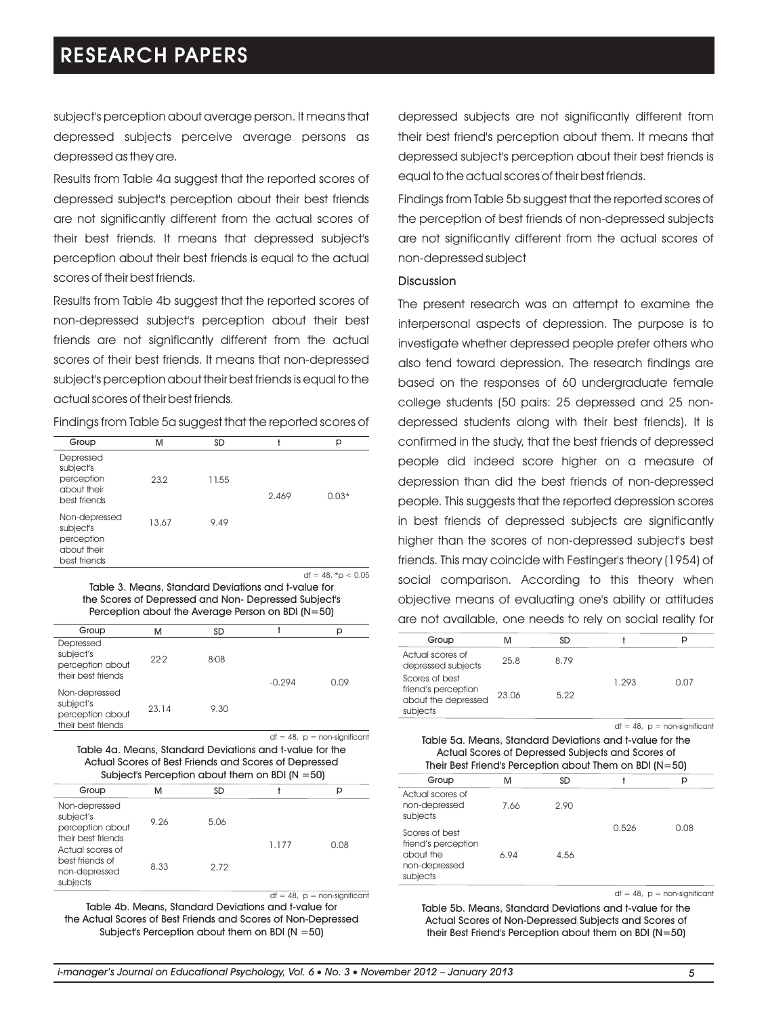subject's perception about average person. It means that depressed subjects perceive average persons as depressed as they are.

Results from Table 4a suggest that the reported scores of depressed subject's perception about their best friends are not significantly different from the actual scores of their best friends. It means that depressed subject's perception about their best friends is equal to the actual scores of their best friends.

Results from Table 4b suggest that the reported scores of non-depressed subject's perception about their best friends are not significantly different from the actual scores of their best friends. It means that non-depressed subject's perception about their best friends is equal to the actual scores of their best friends.

Findings from Table 5a suggest that the reported scores of

| Group                                                                   | M     | SD    |       | р       |
|-------------------------------------------------------------------------|-------|-------|-------|---------|
| Depressed<br>subject's<br>perception<br>about their<br>best friends     | 23.2  | 11.55 | 2.469 | $0.03*$ |
| Non-depressed<br>subject's<br>perception<br>about their<br>best friends | 13.67 | 9.49  |       |         |

df = 48,  $*$ p < 0.05

Table 3. Means, Standard Deviations and t-value for the Scores of Depressed and Non- Depressed Subject's Perception about the Average Person on BDI (N=50)

| Group                                                                | м     | SD   |          | р    |
|----------------------------------------------------------------------|-------|------|----------|------|
| Depressed<br>subject's<br>perception about<br>their best friends     | 22.2  | 8.08 | $-0.294$ | 0.09 |
| Non-depressed<br>subject's<br>perception about<br>their best friends | 23.14 | 9.30 |          |      |

Table 4a. Means, Standard Deviations and t-value for the Actual Scores of Best Friends and Scores of Depressed Subject's Perception about them on BDI  $(N = 50)$  $df = 48$ ,  $p =$  non-significant

| Group                                                                                                                                    | м    | SD   |       | р    |
|------------------------------------------------------------------------------------------------------------------------------------------|------|------|-------|------|
| Non-depressed<br>subject's<br>perception about<br>their best friends<br>Actual scores of<br>best friends of<br>non-depressed<br>subjects | 9.26 | 5.06 | 1.177 | 0.08 |
|                                                                                                                                          | 8.33 | 2.72 |       |      |

 $df = 48$ ,  $p =$  non-significant Table 4b. Means, Standard Deviations and t-value for the Actual Scores of Best Friends and Scores of Non-Depressed Subject's Perception about them on BDI (N =50)

depressed subjects are not significantly different from their best friend's perception about them. It means that depressed subject's perception about their best friends is equal to the actual scores of their best friends.

Findings from Table 5b suggest that the reported scores of the perception of best friends of non-depressed subjects are not significantly different from the actual scores of non-depressed subject

#### **Discussion**

The present research was an attempt to examine the interpersonal aspects of depression. The purpose is to investigate whether depressed people prefer others who also tend toward depression. The research findings are based on the responses of 60 undergraduate female college students (50 pairs: 25 depressed and 25 nondepressed students along with their best friends). It is confirmed in the study, that the best friends of depressed people did indeed score higher on a measure of depression than did the best friends of non-depressed people. This suggests that the reported depression scores in best friends of depressed subjects are significantly higher than the scores of non-depressed subject's best friends. This may coincide with Festinger's theory (1954) of social comparison. According to this theory when objective means of evaluating one's ability or attitudes are not available, one needs to rely on social reality for

| Group                                                                    |       | SD   |       |      |
|--------------------------------------------------------------------------|-------|------|-------|------|
| Actual scores of<br>depressed subjects                                   | 25.8  | 8.79 |       |      |
| Scores of best<br>friend's perception<br>about the depressed<br>subjects | 23.06 | 5.22 | 1.293 | 0.07 |

 $df = 48$ ,  $p =$  non-significant

Table 5a. Means, Standard Deviations and t-value for the Actual Scores of Depressed Subjects and Scores of Their Best Friend's Perception about Them on BDI (N=50)

| Group                                                                           | М    | <b>SD</b> |       | р    |
|---------------------------------------------------------------------------------|------|-----------|-------|------|
| Actual scores of<br>non-depressed<br>subjects                                   | 7.66 | 2.90      |       |      |
| Scores of best<br>friend's perception<br>about the<br>non-depressed<br>subjects | 6.94 | 4.56      | 0.526 | 0.08 |

 $df = 48$ ,  $p =$  non-significant

Table 5b. Means, Standard Deviations and t-value for the Actual Scores of Non-Depressed Subjects and Scores of their Best Friend's Perception about them on BDI (N=50)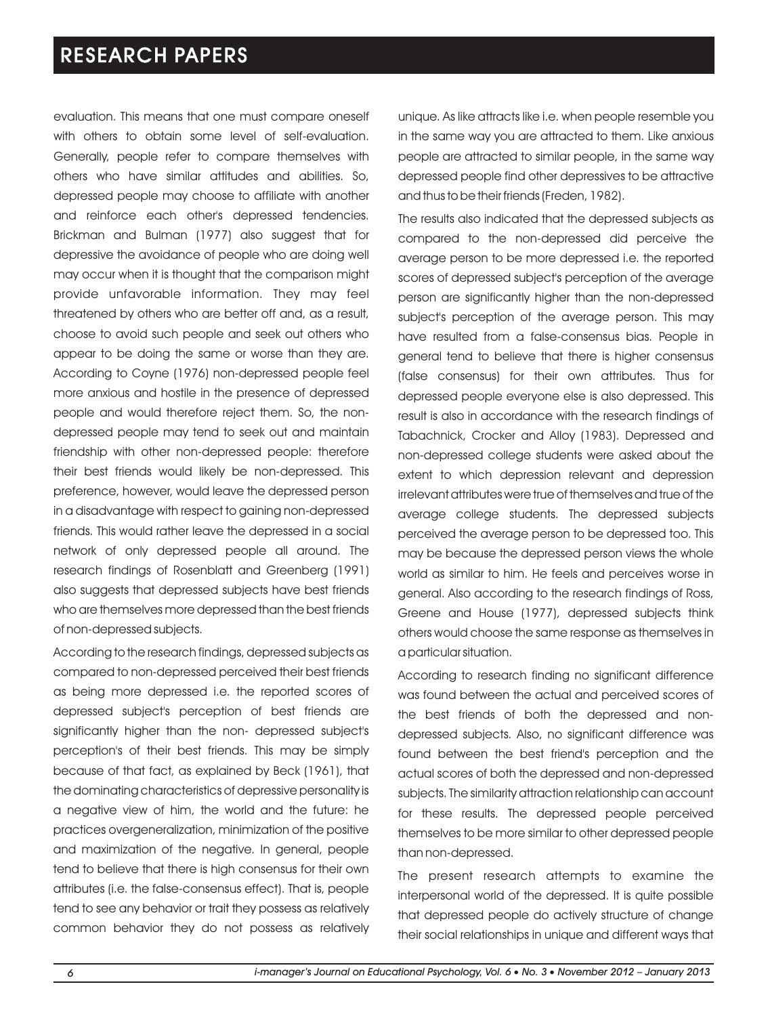evaluation. This means that one must compare oneself with others to obtain some level of self-evaluation. Generally, people refer to compare themselves with others who have similar attitudes and abilities. So, depressed people may choose to affiliate with another and reinforce each other's depressed tendencies. Brickman and Bulman (1977) also suggest that for depressive the avoidance of people who are doing well may occur when it is thought that the comparison might provide unfavorable information. They may feel threatened by others who are better off and, as a result, choose to avoid such people and seek out others who appear to be doing the same or worse than they are. According to Coyne (1976) non-depressed people feel more anxious and hostile in the presence of depressed people and would therefore reject them. So, the nondepressed people may tend to seek out and maintain friendship with other non-depressed people: therefore their best friends would likely be non-depressed. This preference, however, would leave the depressed person in a disadvantage with respect to gaining non-depressed friends. This would rather leave the depressed in a social network of only depressed people all around. The research findings of Rosenblatt and Greenberg (1991) also suggests that depressed subjects have best friends who are themselves more depressed than the best friends of non-depressed subjects.

According to the research findings, depressed subjects as compared to non-depressed perceived their best friends as being more depressed i.e. the reported scores of depressed subject's perception of best friends are significantly higher than the non- depressed subject's perception's of their best friends. This may be simply because of that fact, as explained by Beck (1961), that the dominating characteristics of depressive personality is a negative view of him, the world and the future: he practices overgeneralization, minimization of the positive and maximization of the negative. In general, people tend to believe that there is high consensus for their own attributes (i.e. the false-consensus effect). That is, people tend to see any behavior or trait they possess as relatively common behavior they do not possess as relatively unique. As like attracts like i.e. when people resemble you in the same way you are attracted to them. Like anxious people are attracted to similar people, in the same way depressed people find other depressives to be attractive and thus to be their friends (Freden, 1982).

The results also indicated that the depressed subjects as compared to the non-depressed did perceive the average person to be more depressed i.e. the reported scores of depressed subject's perception of the average person are significantly higher than the non-depressed subject's perception of the average person. This may have resulted from a false-consensus bias. People in general tend to believe that there is higher consensus (false consensus) for their own attributes. Thus for depressed people everyone else is also depressed. This result is also in accordance with the research findings of Tabachnick, Crocker and Alloy (1983). Depressed and non-depressed college students were asked about the extent to which depression relevant and depression irrelevant attributes were true of themselves and true of the average college students. The depressed subjects perceived the average person to be depressed too. This may be because the depressed person views the whole world as similar to him. He feels and perceives worse in general. Also according to the research findings of Ross, Greene and House (1977), depressed subjects think others would choose the same response as themselves in a particular situation.

According to research finding no significant difference was found between the actual and perceived scores of the best friends of both the depressed and nondepressed subjects. Also, no significant difference was found between the best friend's perception and the actual scores of both the depressed and non-depressed subjects. The similarity attraction relationship can account for these results. The depressed people perceived themselves to be more similar to other depressed people than non-depressed.

The present research attempts to examine the interpersonal world of the depressed. It is quite possible that depressed people do actively structure of change their social relationships in unique and different ways that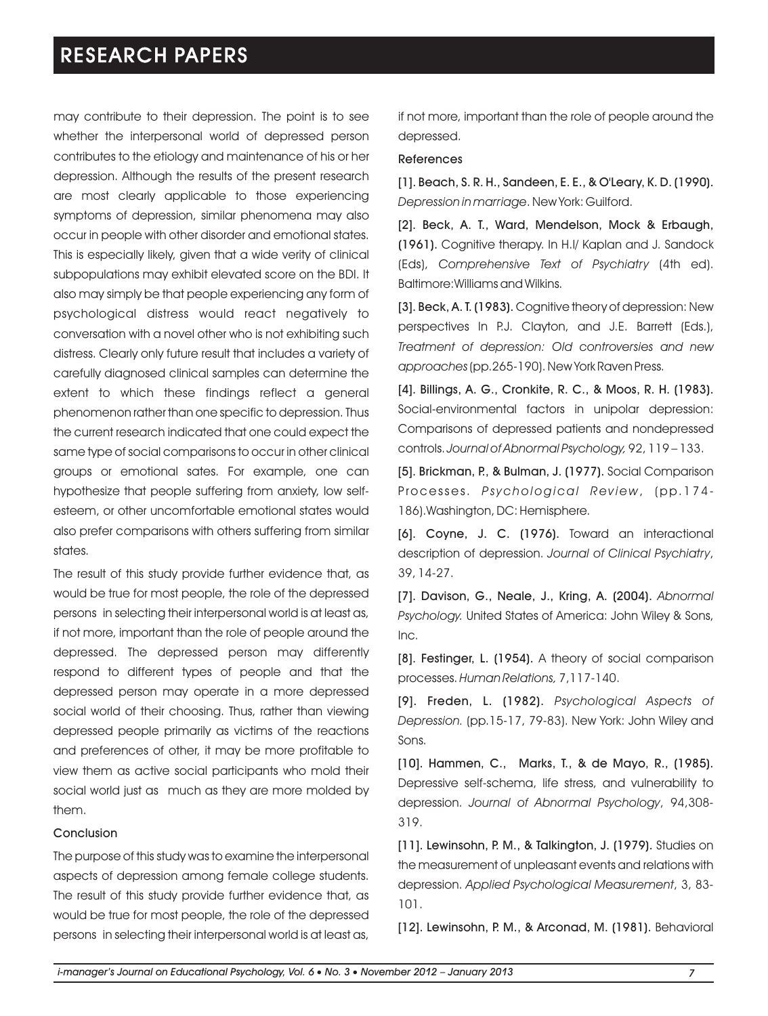may contribute to their depression. The point is to see whether the interpersonal world of depressed person contributes to the etiology and maintenance of his or her depression. Although the results of the present research are most clearly applicable to those experiencing symptoms of depression, similar phenomena may also occur in people with other disorder and emotional states. This is especially likely, given that a wide verity of clinical subpopulations may exhibit elevated score on the BDI. It also may simply be that people experiencing any form of psychological distress would react negatively to conversation with a novel other who is not exhibiting such distress. Clearly only future result that includes a variety of carefully diagnosed clinical samples can determine the extent to which these findings reflect a general phenomenon rather than one specific to depression. Thus the current research indicated that one could expect the same type of social comparisons to occur in other clinical groups or emotional sates. For example, one can hypothesize that people suffering from anxiety, low selfesteem, or other uncomfortable emotional states would also prefer comparisons with others suffering from similar states.

The result of this study provide further evidence that, as would be true for most people, the role of the depressed persons in selecting their interpersonal world is at least as, if not more, important than the role of people around the depressed. The depressed person may differently respond to different types of people and that the depressed person may operate in a more depressed social world of their choosing. Thus, rather than viewing depressed people primarily as victims of the reactions and preferences of other, it may be more profitable to view them as active social participants who mold their social world just as much as they are more molded by them.

#### Conclusion

The purpose of this study was to examine the interpersonal aspects of depression among female college students. The result of this study provide further evidence that, as would be true for most people, the role of the depressed persons in selecting their interpersonal world is at least as, if not more, important than the role of people around the depressed.

#### References

[1]. Beach, S. R. H., Sandeen, E. E., & O'Leary, K. D. (1990). *Depression in marriage*. New York: Guilford.

[2]. Beck, A. T., Ward, Mendelson, Mock & Erbaugh, (1961). Cognitive therapy. In H.I/ Kaplan and J. Sandock (Eds), *Comprehensive Text of Psychiatry* (4th ed). Baltimore:Williams and Wilkins.

[3]. Beck, A. T. (1983). Cognitive theory of depression: New perspectives In P.J. Clayton, and J.E. Barrett (Eds.), *Treatment of depression: Old controversies and new approaches*(pp.265-190). New York Raven Press.

[4]. Billings, A. G., Cronkite, R. C., & Moos, R. H. (1983). Social-environmental factors in unipolar depression: Comparisons of depressed patients and nondepressed controls. *Journal of Abnormal Psychology,* 92, 119 – 133.

[5]. Brickman, P., & Bulman, J. (1977). Social Comparison Processes. *Ps ychological Rev iew*, (pp. 1 7 4 - 186).Washington, DC: Hemisphere.

[6]. Coyne, J. C. (1976). Toward an interactional description of depression. *Journal of Clinical Psychiatry*, 39, 14-27.

[7]. Davison, G., Neale, J., Kring, A. (2004). *Abnormal Psychology.* United States of America: John Wiley & Sons, Inc.

[8]. Festinger, L. (1954). A theory of social comparison processes. *Human Relations,* 7,117-140.

[9]. Freden, L. (1982). *Psychological Aspects of Depression.* (pp.15-17, 79-83). New York: John Wiley and Sons.

[10]. Hammen, C., Marks, T., & de Mayo, R., (1985). Depressive self-schema, life stress, and vulnerability to depression. *Journal of Abnormal Psychology*, 94,308- 319.

[11]. Lewinsohn, P. M., & Talkington, J. (1979). Studies on the measurement of unpleasant events and relations with depression. *Applied Psychological Measurement*, 3, 83- 101.

[12]. Lewinsohn, P. M., & Arconad, M. (1981). Behavioral